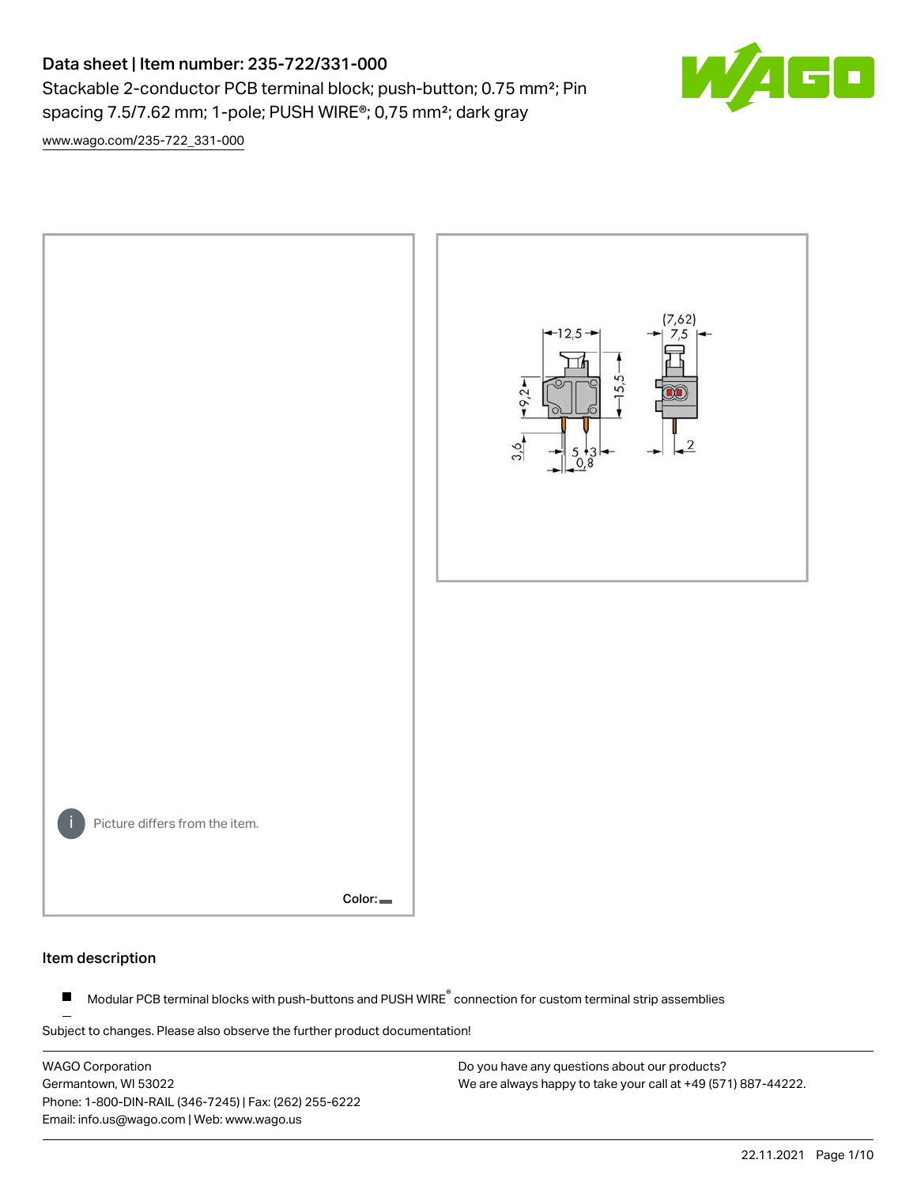# Data sheet | Item number: 235-722/331-000

Stackable 2-conductor PCB terminal block; push-button; 0.75 mm<sup>2</sup>; Pin spacing 7.5/7.62 mm; 1-pole; PUSH WIRE®; 0,75 mm²; dark gray

 $\mathbf{E}$ 

[www.wago.com/235-722\\_331-000](http://www.wago.com/235-722_331-000)



#### Item description

Modular PCB terminal blocks with push-buttons and PUSH WIRE<sup>®</sup> connection for custom terminal strip assemblies  $\blacksquare$ 

Subject to changes. Please also observe the further product documentation!

WAGO Corporation Germantown, WI 53022 Phone: 1-800-DIN-RAIL (346-7245) | Fax: (262) 255-6222 Email: info.us@wago.com | Web: www.wago.us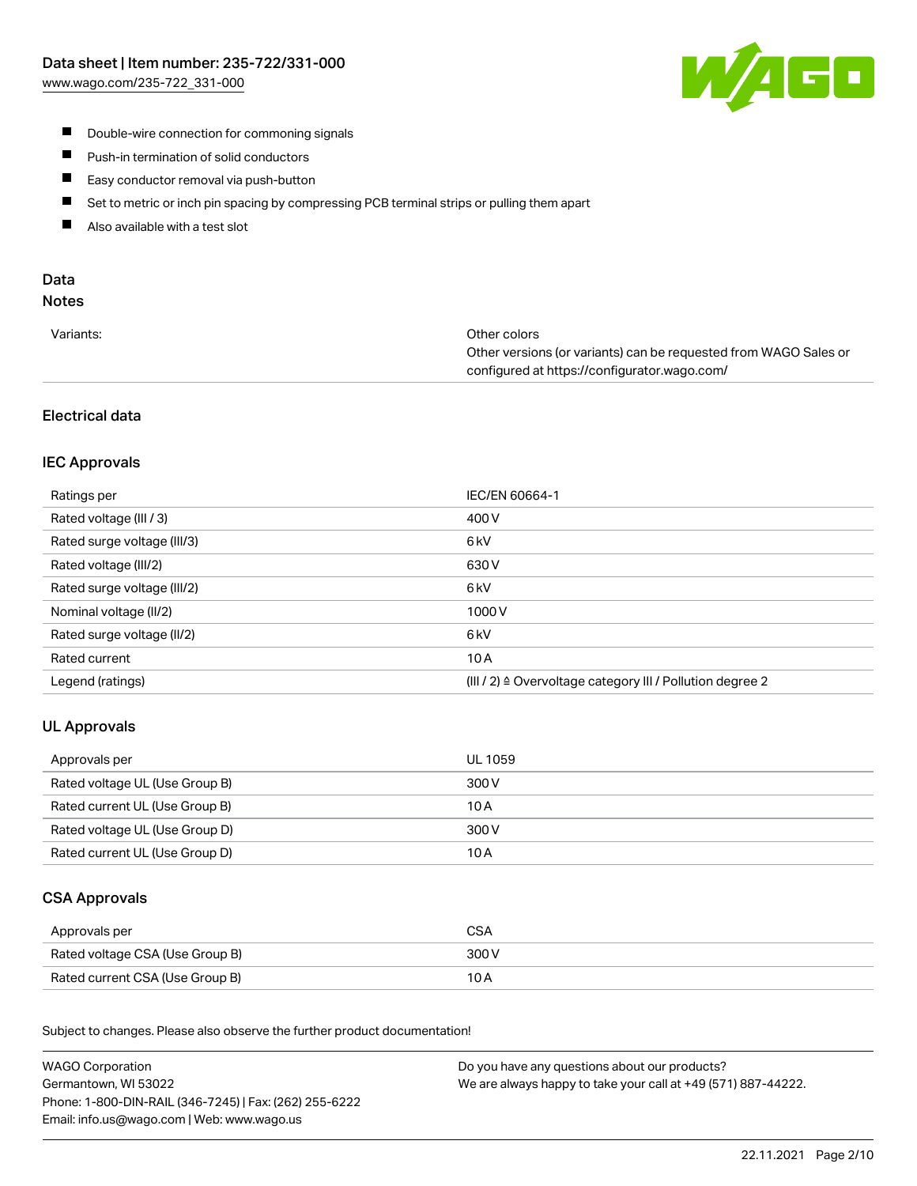

- **Double-wire connection for commoning signals**
- $\blacksquare$ Push-in termination of solid conductors
- Easy conductor removal via push-button  $\blacksquare$
- $\blacksquare$ Set to metric or inch pin spacing by compressing PCB terminal strips or pulling them apart
- $\blacksquare$ Also available with a test slot

# Data

# Notes

| Variants: | Other colors                                                     |
|-----------|------------------------------------------------------------------|
|           | Other versions (or variants) can be requested from WAGO Sales or |
|           | configured at https://configurator.wago.com/                     |

# Electrical data

# IEC Approvals

| Ratings per                 | IEC/EN 60664-1                                                       |
|-----------------------------|----------------------------------------------------------------------|
| Rated voltage (III / 3)     | 400 V                                                                |
| Rated surge voltage (III/3) | 6 <sub>kV</sub>                                                      |
| Rated voltage (III/2)       | 630 V                                                                |
| Rated surge voltage (III/2) | 6 <sub>kV</sub>                                                      |
| Nominal voltage (II/2)      | 1000V                                                                |
| Rated surge voltage (II/2)  | 6 <sub>kV</sub>                                                      |
| Rated current               | 10A                                                                  |
| Legend (ratings)            | (III / 2) $\triangleq$ Overvoltage category III / Pollution degree 2 |

# UL Approvals

| Approvals per                  | UL 1059 |
|--------------------------------|---------|
| Rated voltage UL (Use Group B) | 300 V   |
| Rated current UL (Use Group B) | 10 A    |
| Rated voltage UL (Use Group D) | 300 V   |
| Rated current UL (Use Group D) | 10 A    |

## CSA Approvals

| Approvals per                   |       |
|---------------------------------|-------|
| Rated voltage CSA (Use Group B) | 300 V |
| Rated current CSA (Use Group B) | 10 A  |

.<br>Subject to changes. Please also observe the further product documentation!

| <b>WAGO Corporation</b>                                | Do you have any questions about our products?                 |
|--------------------------------------------------------|---------------------------------------------------------------|
| Germantown, WI 53022                                   | We are always happy to take your call at +49 (571) 887-44222. |
| Phone: 1-800-DIN-RAIL (346-7245)   Fax: (262) 255-6222 |                                                               |
| Email: info.us@wago.com   Web: www.wago.us             |                                                               |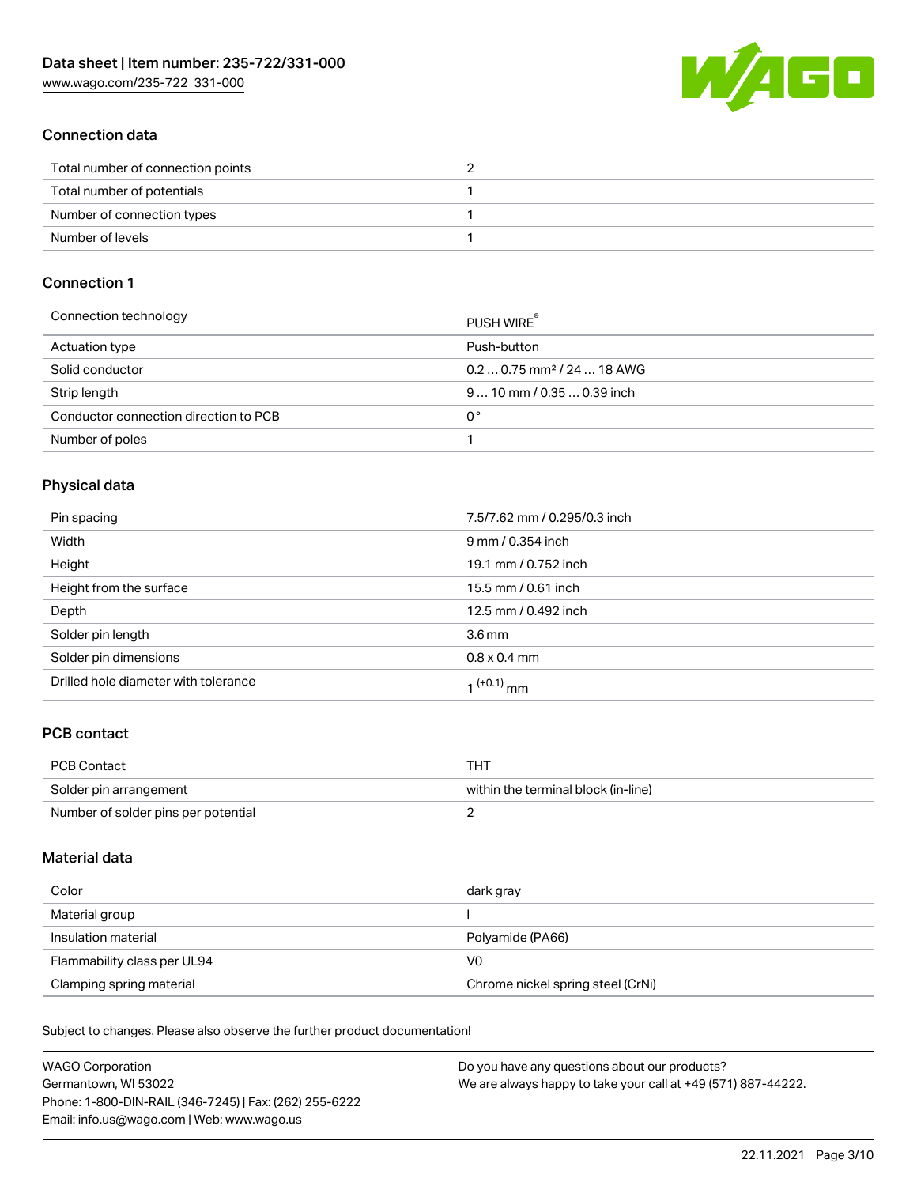W/4GO

## Connection data

| Total number of connection points |  |
|-----------------------------------|--|
| Total number of potentials        |  |
| Number of connection types        |  |
| Number of levels                  |  |

#### Connection 1

| Connection technology                 | PUSH WIRE                              |
|---------------------------------------|----------------------------------------|
| Actuation type                        | Push-button                            |
| Solid conductor                       | $0.20.75$ mm <sup>2</sup> / 24  18 AWG |
| Strip length                          | $910$ mm $/0.350.39$ inch              |
| Conductor connection direction to PCB | 0°                                     |
| Number of poles                       |                                        |

## Physical data

| Pin spacing                          | 7.5/7.62 mm / 0.295/0.3 inch |
|--------------------------------------|------------------------------|
| Width                                | 9 mm / 0.354 inch            |
| Height                               | 19.1 mm / 0.752 inch         |
| Height from the surface              | 15.5 mm / 0.61 inch          |
| Depth                                | 12.5 mm / 0.492 inch         |
| Solder pin length                    | 3.6 <sub>mm</sub>            |
| Solder pin dimensions                | $0.8 \times 0.4$ mm          |
| Drilled hole diameter with tolerance | $1^{(+0.1)}$ mm              |

# PCB contact

| <b>PCB Contact</b>                  | THT                                 |
|-------------------------------------|-------------------------------------|
| Solder pin arrangement              | within the terminal block (in-line) |
| Number of solder pins per potential |                                     |

#### Material data

| Color                       | dark gray                         |
|-----------------------------|-----------------------------------|
| Material group              |                                   |
| Insulation material         | Polyamide (PA66)                  |
| Flammability class per UL94 | VO                                |
| Clamping spring material    | Chrome nickel spring steel (CrNi) |

Subject to changes. Please also observe the further product documentation!

| <b>WAGO Corporation</b>                                | Do you have any questions about our products?                 |
|--------------------------------------------------------|---------------------------------------------------------------|
| Germantown, WI 53022                                   | We are always happy to take your call at +49 (571) 887-44222. |
| Phone: 1-800-DIN-RAIL (346-7245)   Fax: (262) 255-6222 |                                                               |
| Email: info.us@wago.com   Web: www.wago.us             |                                                               |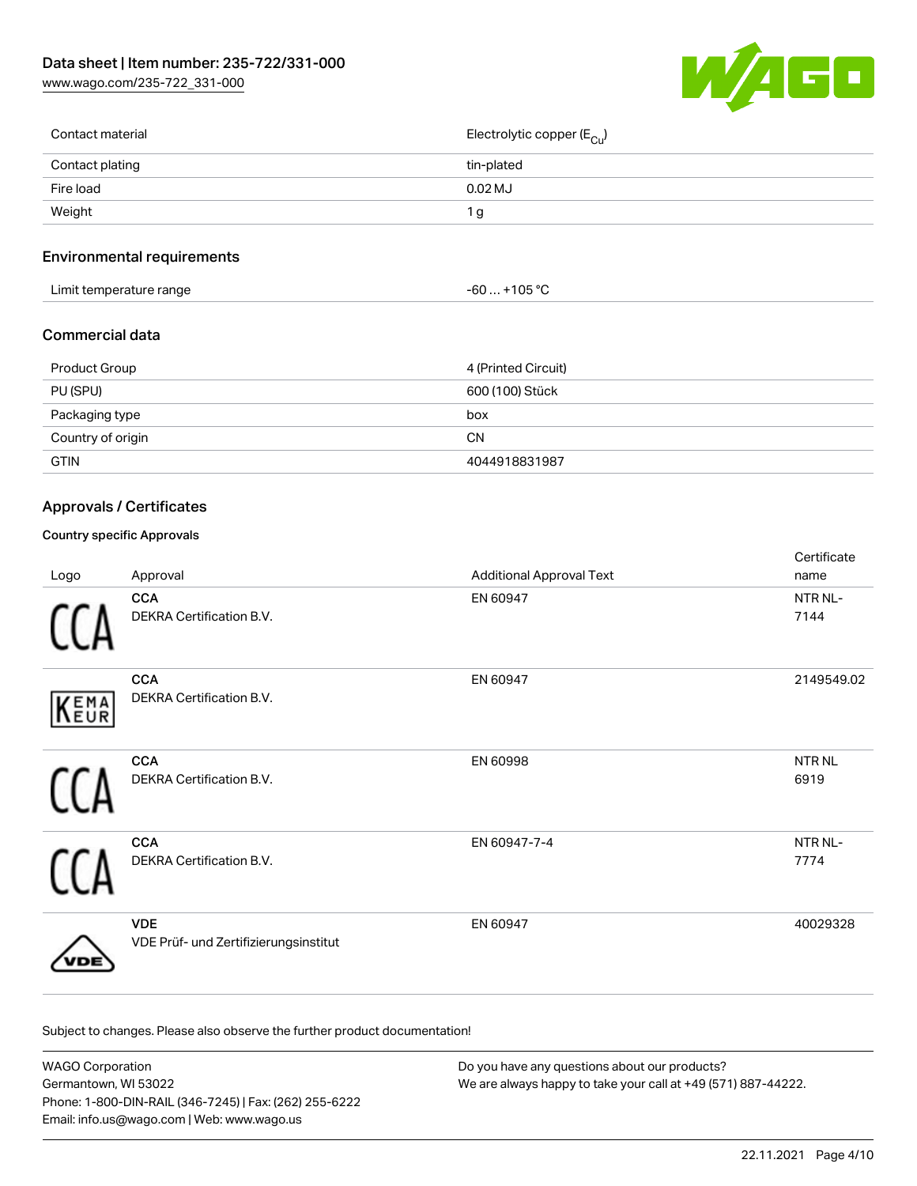[www.wago.com/235-722\\_331-000](http://www.wago.com/235-722_331-000)



| Contact material | Electrolytic copper ( $E_{\text{Cu}}$ ) |
|------------------|-----------------------------------------|
| Contact plating  | tin-plated                              |
| Fire load        | $0.02$ MJ                               |
| Weight           | Ίg                                      |
|                  |                                         |

# Environmental requirements

| Limit temperature range                                                                                                                                                                                                        |                       |
|--------------------------------------------------------------------------------------------------------------------------------------------------------------------------------------------------------------------------------|-----------------------|
|                                                                                                                                                                                                                                | . +105 ° <sup>∩</sup> |
| and the contract of the contract of the contract of the contract of the contract of the contract of the contract of the contract of the contract of the contract of the contract of the contract of the contract of the contra | -60                   |

#### Commercial data

| Product Group     | 4 (Printed Circuit) |
|-------------------|---------------------|
| PU (SPU)          | 600 (100) Stück     |
| Packaging type    | box                 |
| Country of origin | <b>CN</b>           |
| <b>GTIN</b>       | 4044918831987       |

## Approvals / Certificates

#### Country specific Approvals

| Logo | Approval                                            | <b>Additional Approval Text</b> | Certificate<br>name       |
|------|-----------------------------------------------------|---------------------------------|---------------------------|
|      | <b>CCA</b><br>DEKRA Certification B.V.              | EN 60947                        | NTR NL-<br>7144           |
| KEMA | <b>CCA</b><br>DEKRA Certification B.V.              | EN 60947                        | 2149549.02                |
|      | <b>CCA</b><br>DEKRA Certification B.V.              | EN 60998                        | NTR <sub>NL</sub><br>6919 |
|      | <b>CCA</b><br>DEKRA Certification B.V.              | EN 60947-7-4                    | NTR NL-<br>7774           |
|      | <b>VDE</b><br>VDE Prüf- und Zertifizierungsinstitut | EN 60947                        | 40029328                  |

Subject to changes. Please also observe the further product documentation!

| WAGO Corporation                                       | Do you have any questions about our products?                 |
|--------------------------------------------------------|---------------------------------------------------------------|
| Germantown, WI 53022                                   | We are always happy to take your call at +49 (571) 887-44222. |
| Phone: 1-800-DIN-RAIL (346-7245)   Fax: (262) 255-6222 |                                                               |
| Email: info.us@wago.com   Web: www.wago.us             |                                                               |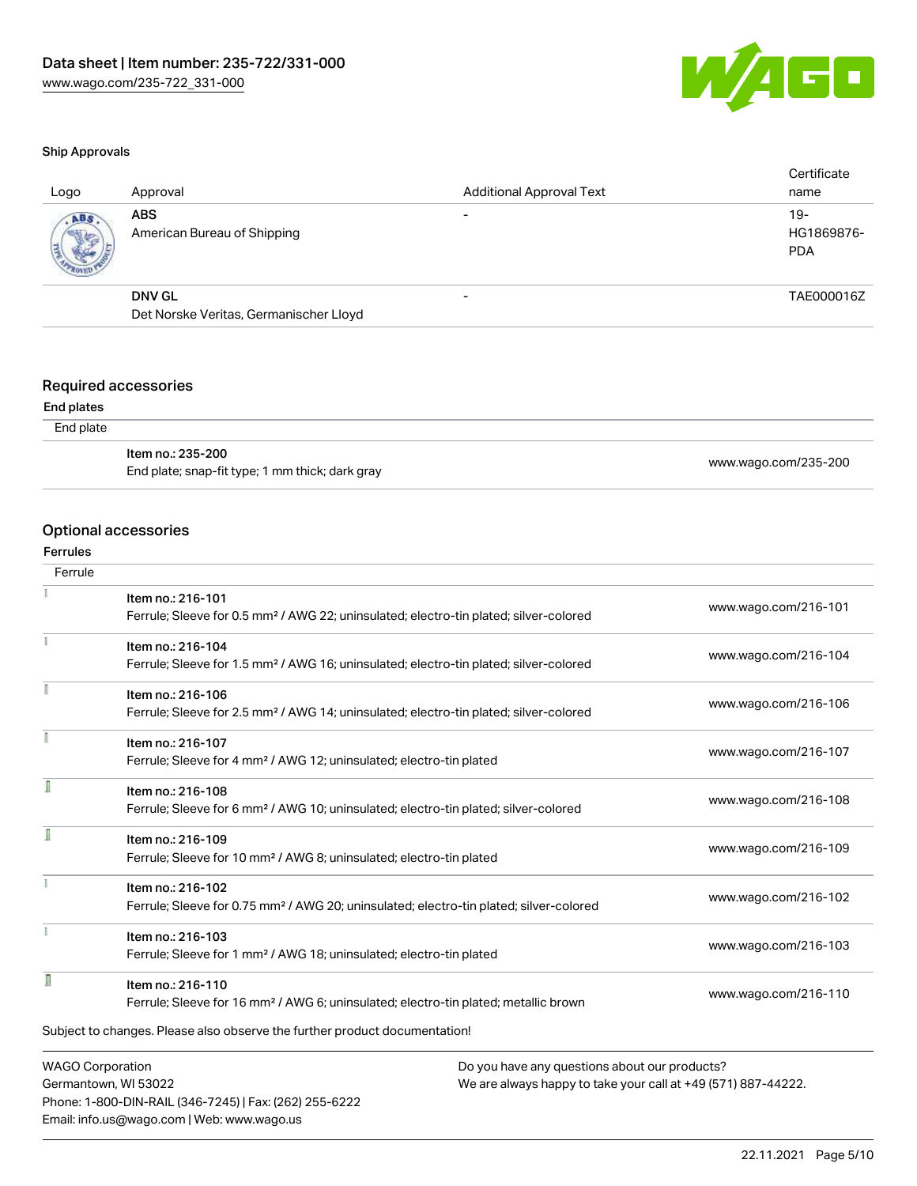

#### Ship Approvals

| Logo | Approval                                  | <b>Additional Approval Text</b> | Certificate<br>name             |
|------|-------------------------------------------|---------------------------------|---------------------------------|
| ABS  | <b>ABS</b><br>American Bureau of Shipping |                                 | 19-<br>HG1869876-<br><b>PDA</b> |
|      | <b>DNV GL</b>                             | $\overline{\phantom{0}}$        | TAE000016Z                      |
|      | Det Norske Veritas, Germanischer Lloyd    |                                 |                                 |
|      |                                           |                                 |                                 |

## Required accessories

#### End plates

| End plate |                                                                      |                      |
|-----------|----------------------------------------------------------------------|----------------------|
|           | ltem no.: 235-200<br>End plate; snap-fit type; 1 mm thick; dark gray | www.wago.com/235-200 |

## Optional accessories

Phone: 1-800-DIN-RAIL (346-7245) | Fax: (262) 255-6222

Email: info.us@wago.com | Web: www.wago.us

#### Ferrules

| Ferrule                 |                                                                                                    |                                                               |  |  |
|-------------------------|----------------------------------------------------------------------------------------------------|---------------------------------------------------------------|--|--|
|                         | Item no.: 216-101                                                                                  |                                                               |  |  |
|                         | Ferrule; Sleeve for 0.5 mm <sup>2</sup> / AWG 22; uninsulated; electro-tin plated; silver-colored  | www.wago.com/216-101                                          |  |  |
|                         | Item no.: 216-104                                                                                  |                                                               |  |  |
|                         | Ferrule; Sleeve for 1.5 mm <sup>2</sup> / AWG 16; uninsulated; electro-tin plated; silver-colored  | www.wago.com/216-104                                          |  |  |
|                         | Item no.: 216-106                                                                                  |                                                               |  |  |
|                         | Ferrule; Sleeve for 2.5 mm <sup>2</sup> / AWG 14; uninsulated; electro-tin plated; silver-colored  | www.wago.com/216-106                                          |  |  |
|                         | Item no.: 216-107                                                                                  |                                                               |  |  |
|                         | Ferrule; Sleeve for 4 mm <sup>2</sup> / AWG 12; uninsulated; electro-tin plated                    | www.wago.com/216-107                                          |  |  |
| Ī                       | Item no.: 216-108                                                                                  |                                                               |  |  |
|                         | Ferrule; Sleeve for 6 mm <sup>2</sup> / AWG 10; uninsulated; electro-tin plated; silver-colored    | www.wago.com/216-108                                          |  |  |
|                         | Item no.: 216-109                                                                                  |                                                               |  |  |
|                         | Ferrule; Sleeve for 10 mm <sup>2</sup> / AWG 8; uninsulated; electro-tin plated                    | www.wago.com/216-109                                          |  |  |
|                         | Item no.: 216-102                                                                                  |                                                               |  |  |
|                         | Ferrule; Sleeve for 0.75 mm <sup>2</sup> / AWG 20; uninsulated; electro-tin plated; silver-colored | www.wago.com/216-102                                          |  |  |
|                         | Item no.: 216-103                                                                                  |                                                               |  |  |
|                         | Ferrule; Sleeve for 1 mm <sup>2</sup> / AWG 18; uninsulated; electro-tin plated                    | www.wago.com/216-103                                          |  |  |
| I                       | Item no.: 216-110                                                                                  |                                                               |  |  |
|                         | Ferrule; Sleeve for 16 mm <sup>2</sup> / AWG 6; uninsulated; electro-tin plated; metallic brown    | www.wago.com/216-110                                          |  |  |
|                         | Subject to changes. Please also observe the further product documentation!                         |                                                               |  |  |
| <b>WAGO Corporation</b> |                                                                                                    | Do you have any questions about our products?                 |  |  |
| Germantown, WI 53022    |                                                                                                    | We are always happy to take your call at +49 (571) 887-44222. |  |  |

22.11.2021 Page 5/10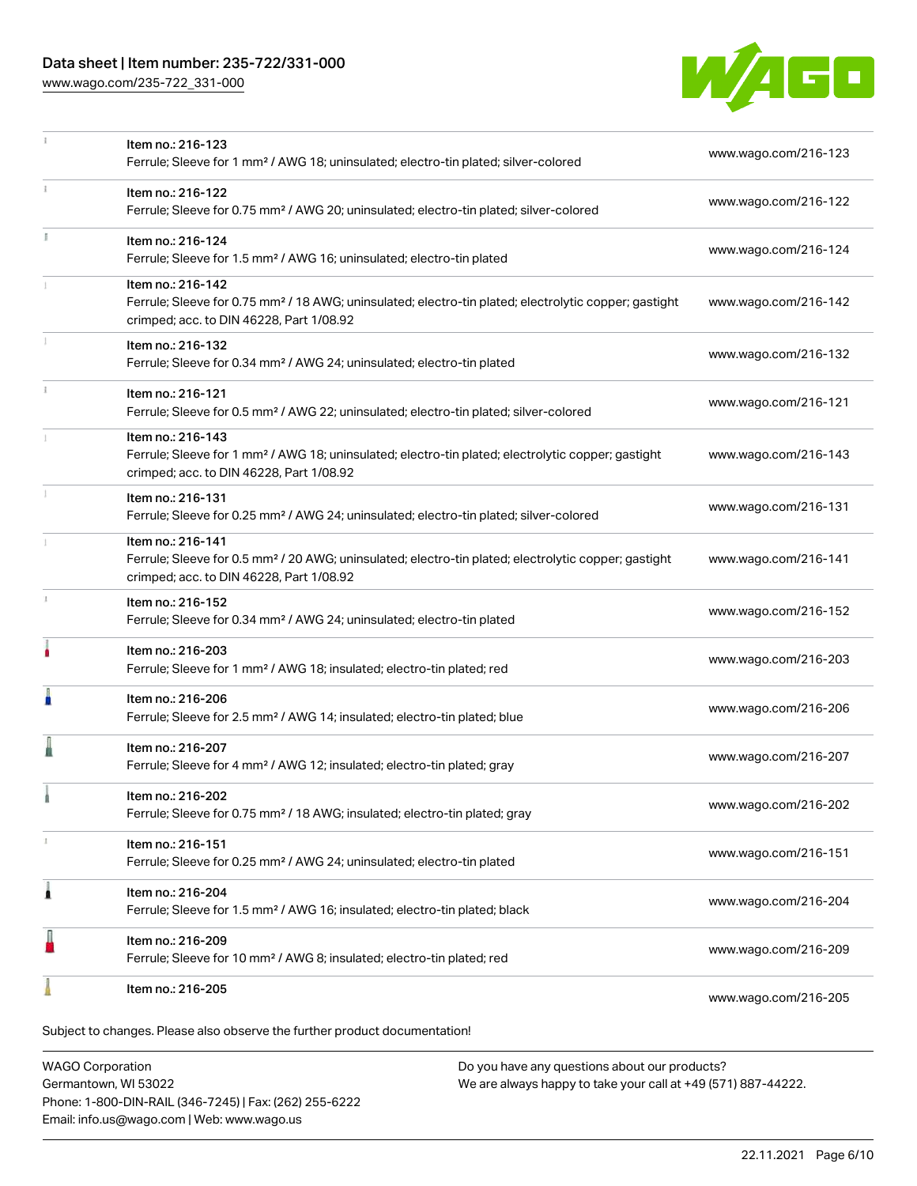## Data sheet | Item number: 235-722/331-000

[www.wago.com/235-722\\_331-000](http://www.wago.com/235-722_331-000)



|    | Item no.: 216-123                                                                                                                                             | www.wago.com/216-123 |
|----|---------------------------------------------------------------------------------------------------------------------------------------------------------------|----------------------|
|    | Ferrule; Sleeve for 1 mm <sup>2</sup> / AWG 18; uninsulated; electro-tin plated; silver-colored                                                               |                      |
| ī. | Item no.: 216-122                                                                                                                                             | www.wago.com/216-122 |
|    | Ferrule; Sleeve for 0.75 mm <sup>2</sup> / AWG 20; uninsulated; electro-tin plated; silver-colored                                                            |                      |
|    | Item no.: 216-124                                                                                                                                             | www.wago.com/216-124 |
|    | Ferrule; Sleeve for 1.5 mm <sup>2</sup> / AWG 16; uninsulated; electro-tin plated                                                                             |                      |
|    | Item no.: 216-142                                                                                                                                             |                      |
|    | Ferrule; Sleeve for 0.75 mm <sup>2</sup> / 18 AWG; uninsulated; electro-tin plated; electrolytic copper; gastight<br>crimped; acc. to DIN 46228, Part 1/08.92 | www.wago.com/216-142 |
|    | Item no.: 216-132                                                                                                                                             |                      |
|    | Ferrule; Sleeve for 0.34 mm <sup>2</sup> / AWG 24; uninsulated; electro-tin plated                                                                            | www.wago.com/216-132 |
|    | Item no.: 216-121                                                                                                                                             |                      |
|    | Ferrule; Sleeve for 0.5 mm <sup>2</sup> / AWG 22; uninsulated; electro-tin plated; silver-colored                                                             | www.wago.com/216-121 |
|    | Item no.: 216-143                                                                                                                                             |                      |
|    | Ferrule; Sleeve for 1 mm <sup>2</sup> / AWG 18; uninsulated; electro-tin plated; electrolytic copper; gastight                                                | www.wago.com/216-143 |
|    | crimped; acc. to DIN 46228, Part 1/08.92                                                                                                                      |                      |
|    | Item no.: 216-131<br>Ferrule; Sleeve for 0.25 mm <sup>2</sup> / AWG 24; uninsulated; electro-tin plated; silver-colored                                       | www.wago.com/216-131 |
|    | Item no.: 216-141                                                                                                                                             |                      |
|    | Ferrule; Sleeve for 0.5 mm <sup>2</sup> / 20 AWG; uninsulated; electro-tin plated; electrolytic copper; gastight                                              | www.wago.com/216-141 |
|    | crimped; acc. to DIN 46228, Part 1/08.92                                                                                                                      |                      |
| 1  | Item no.: 216-152                                                                                                                                             | www.wago.com/216-152 |
|    | Ferrule; Sleeve for 0.34 mm <sup>2</sup> / AWG 24; uninsulated; electro-tin plated                                                                            |                      |
|    | Item no.: 216-203                                                                                                                                             | www.wago.com/216-203 |
|    | Ferrule; Sleeve for 1 mm <sup>2</sup> / AWG 18; insulated; electro-tin plated; red                                                                            |                      |
| Å  | Item no.: 216-206                                                                                                                                             | www.wago.com/216-206 |
|    | Ferrule; Sleeve for 2.5 mm <sup>2</sup> / AWG 14; insulated; electro-tin plated; blue                                                                         |                      |
|    | Item no.: 216-207                                                                                                                                             | www.wago.com/216-207 |
|    | Ferrule; Sleeve for 4 mm <sup>2</sup> / AWG 12; insulated; electro-tin plated; gray                                                                           |                      |
|    | Item no.: 216-202                                                                                                                                             | www.wago.com/216-202 |
|    | Ferrule; Sleeve for 0.75 mm <sup>2</sup> / 18 AWG; insulated; electro-tin plated; gray                                                                        |                      |
|    | Item no.: 216-151                                                                                                                                             | www.wago.com/216-151 |
|    | Ferrule; Sleeve for 0.25 mm <sup>2</sup> / AWG 24; uninsulated; electro-tin plated                                                                            |                      |
| 1  | Item no.: 216-204                                                                                                                                             | www.wago.com/216-204 |
|    | Ferrule; Sleeve for 1.5 mm <sup>2</sup> / AWG 16; insulated; electro-tin plated; black                                                                        |                      |
|    | Item no.: 216-209                                                                                                                                             | www.wago.com/216-209 |
|    | Ferrule; Sleeve for 10 mm <sup>2</sup> / AWG 8; insulated; electro-tin plated; red                                                                            |                      |
|    | Item no.: 216-205                                                                                                                                             |                      |
|    |                                                                                                                                                               | www.wago.com/216-205 |
|    | Subject to changes. Please also observe the further product documentation!                                                                                    |                      |

WAGO Corporation

Germantown, WI 53022 Phone: 1-800-DIN-RAIL (346-7245) | Fax: (262) 255-6222 Email: info.us@wago.com | Web: www.wago.us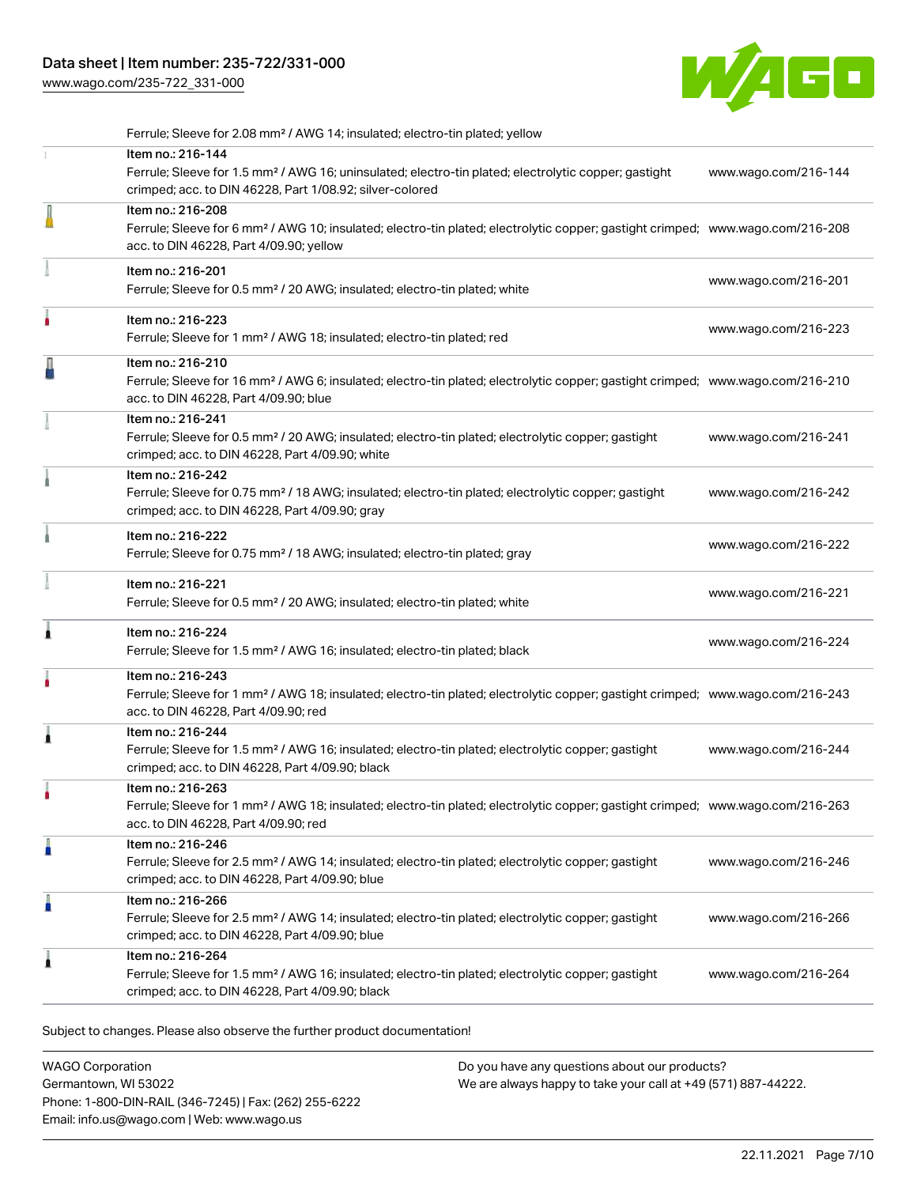[www.wago.com/235-722\\_331-000](http://www.wago.com/235-722_331-000)



|   | Ferrule; Sleeve for 2.08 mm <sup>2</sup> / AWG 14; insulated; electro-tin plated; yellow                                                                                                                   |                      |
|---|------------------------------------------------------------------------------------------------------------------------------------------------------------------------------------------------------------|----------------------|
|   | Item no.: 216-144<br>Ferrule; Sleeve for 1.5 mm <sup>2</sup> / AWG 16; uninsulated; electro-tin plated; electrolytic copper; gastight<br>crimped; acc. to DIN 46228, Part 1/08.92; silver-colored          | www.wago.com/216-144 |
| I | Item no.: 216-208<br>Ferrule; Sleeve for 6 mm <sup>2</sup> / AWG 10; insulated; electro-tin plated; electrolytic copper; gastight crimped; www.wago.com/216-208<br>acc. to DIN 46228, Part 4/09.90; yellow |                      |
|   | Item no.: 216-201<br>Ferrule; Sleeve for 0.5 mm <sup>2</sup> / 20 AWG; insulated; electro-tin plated; white                                                                                                | www.wago.com/216-201 |
|   | Item no.: 216-223<br>Ferrule; Sleeve for 1 mm <sup>2</sup> / AWG 18; insulated; electro-tin plated; red                                                                                                    | www.wago.com/216-223 |
|   | Item no.: 216-210<br>Ferrule; Sleeve for 16 mm <sup>2</sup> / AWG 6; insulated; electro-tin plated; electrolytic copper; gastight crimped; www.wago.com/216-210<br>acc. to DIN 46228, Part 4/09.90; blue   |                      |
|   | Item no.: 216-241<br>Ferrule; Sleeve for 0.5 mm <sup>2</sup> / 20 AWG; insulated; electro-tin plated; electrolytic copper; gastight<br>crimped; acc. to DIN 46228, Part 4/09.90; white                     | www.wago.com/216-241 |
|   | Item no.: 216-242<br>Ferrule; Sleeve for 0.75 mm <sup>2</sup> / 18 AWG; insulated; electro-tin plated; electrolytic copper; gastight<br>crimped; acc. to DIN 46228, Part 4/09.90; gray                     | www.wago.com/216-242 |
|   | Item no.: 216-222<br>Ferrule; Sleeve for 0.75 mm <sup>2</sup> / 18 AWG; insulated; electro-tin plated; gray                                                                                                | www.wago.com/216-222 |
|   | Item no.: 216-221<br>Ferrule; Sleeve for 0.5 mm <sup>2</sup> / 20 AWG; insulated; electro-tin plated; white                                                                                                | www.wago.com/216-221 |
| Â | Item no.: 216-224<br>Ferrule; Sleeve for 1.5 mm <sup>2</sup> / AWG 16; insulated; electro-tin plated; black                                                                                                | www.wago.com/216-224 |
|   | Item no.: 216-243<br>Ferrule; Sleeve for 1 mm <sup>2</sup> / AWG 18; insulated; electro-tin plated; electrolytic copper; gastight crimped; www.wago.com/216-243<br>acc. to DIN 46228, Part 4/09.90; red    |                      |
|   | Item no.: 216-244<br>Ferrule; Sleeve for 1.5 mm <sup>2</sup> / AWG 16; insulated; electro-tin plated; electrolytic copper; gastight<br>crimped; acc. to DIN 46228, Part 4/09.90; black                     | www.wago.com/216-244 |
|   | Item no.: 216-263<br>Ferrule; Sleeve for 1 mm <sup>2</sup> / AWG 18; insulated; electro-tin plated; electrolytic copper; gastight crimped; www.wago.com/216-263<br>acc. to DIN 46228, Part 4/09.90; red    |                      |
| п | Item no.: 216-246<br>Ferrule; Sleeve for 2.5 mm <sup>2</sup> / AWG 14; insulated; electro-tin plated; electrolytic copper; gastight<br>crimped; acc. to DIN 46228, Part 4/09.90; blue                      | www.wago.com/216-246 |
| п | Item no.: 216-266<br>Ferrule; Sleeve for 2.5 mm <sup>2</sup> / AWG 14; insulated; electro-tin plated; electrolytic copper; gastight<br>crimped; acc. to DIN 46228, Part 4/09.90; blue                      | www.wago.com/216-266 |
| £ | Item no.: 216-264<br>Ferrule; Sleeve for 1.5 mm <sup>2</sup> / AWG 16; insulated; electro-tin plated; electrolytic copper; gastight<br>crimped; acc. to DIN 46228, Part 4/09.90; black                     | www.wago.com/216-264 |

Subject to changes. Please also observe the further product documentation!

WAGO Corporation Germantown, WI 53022 Phone: 1-800-DIN-RAIL (346-7245) | Fax: (262) 255-6222 Email: info.us@wago.com | Web: www.wago.us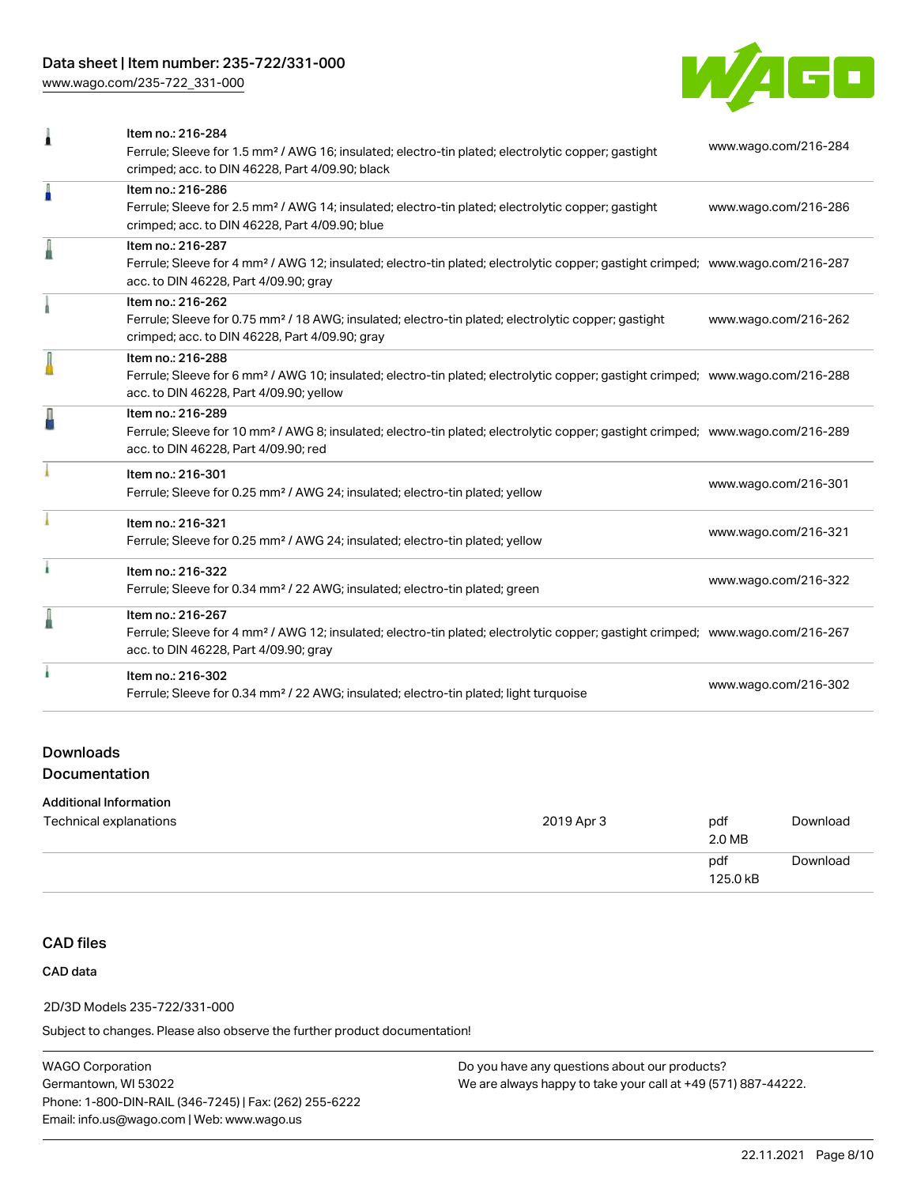# Data sheet | Item number: 235-722/331-000

[www.wago.com/235-722\\_331-000](http://www.wago.com/235-722_331-000)



| 1 | Item no.: 216-284<br>Ferrule; Sleeve for 1.5 mm <sup>2</sup> / AWG 16; insulated; electro-tin plated; electrolytic copper; gastight<br>crimped; acc. to DIN 46228, Part 4/09.90; black                     | www.wago.com/216-284 |
|---|------------------------------------------------------------------------------------------------------------------------------------------------------------------------------------------------------------|----------------------|
| I | Item no.: 216-286<br>Ferrule; Sleeve for 2.5 mm <sup>2</sup> / AWG 14; insulated; electro-tin plated; electrolytic copper; gastight<br>crimped; acc. to DIN 46228, Part 4/09.90; blue                      | www.wago.com/216-286 |
|   | Item no.: 216-287<br>Ferrule; Sleeve for 4 mm <sup>2</sup> / AWG 12; insulated; electro-tin plated; electrolytic copper; gastight crimped; www.wago.com/216-287<br>acc. to DIN 46228, Part 4/09.90; gray   |                      |
|   | Item no.: 216-262<br>Ferrule; Sleeve for 0.75 mm <sup>2</sup> / 18 AWG; insulated; electro-tin plated; electrolytic copper; gastight<br>crimped; acc. to DIN 46228, Part 4/09.90; gray                     | www.wago.com/216-262 |
| I | Item no.: 216-288<br>Ferrule; Sleeve for 6 mm <sup>2</sup> / AWG 10; insulated; electro-tin plated; electrolytic copper; gastight crimped; www.wago.com/216-288<br>acc. to DIN 46228, Part 4/09.90; yellow |                      |
| Д | Item no.: 216-289<br>Ferrule; Sleeve for 10 mm <sup>2</sup> / AWG 8; insulated; electro-tin plated; electrolytic copper; gastight crimped; www.wago.com/216-289<br>acc. to DIN 46228, Part 4/09.90; red    |                      |
|   | Item no.: 216-301<br>Ferrule; Sleeve for 0.25 mm <sup>2</sup> / AWG 24; insulated; electro-tin plated; yellow                                                                                              | www.wago.com/216-301 |
|   | Item no.: 216-321<br>Ferrule; Sleeve for 0.25 mm <sup>2</sup> / AWG 24; insulated; electro-tin plated; yellow                                                                                              | www.wago.com/216-321 |
| ł | Item no.: 216-322<br>Ferrule; Sleeve for 0.34 mm <sup>2</sup> / 22 AWG; insulated; electro-tin plated; green                                                                                               | www.wago.com/216-322 |
| I | Item no.: 216-267<br>Ferrule; Sleeve for 4 mm <sup>2</sup> / AWG 12; insulated; electro-tin plated; electrolytic copper; gastight crimped; www.wago.com/216-267<br>acc. to DIN 46228, Part 4/09.90; gray   |                      |
|   | Item no.: 216-302<br>Ferrule; Sleeve for 0.34 mm <sup>2</sup> / 22 AWG; insulated; electro-tin plated; light turquoise                                                                                     | www.wago.com/216-302 |
|   |                                                                                                                                                                                                            |                      |

## Downloads Documentation

#### Additional Information

| Technical explanations | 2019 Apr 3 | pdf<br>2.0 MB   | Download |
|------------------------|------------|-----------------|----------|
|                        |            | pdf<br>125.0 kB | Download |

# CAD files

## CAD data

#### 2D/3D Models 235-722/331-000

Subject to changes. Please also observe the further product documentation!

WAGO Corporation Germantown, WI 53022 Phone: 1-800-DIN-RAIL (346-7245) | Fax: (262) 255-6222 Email: info.us@wago.com | Web: www.wago.us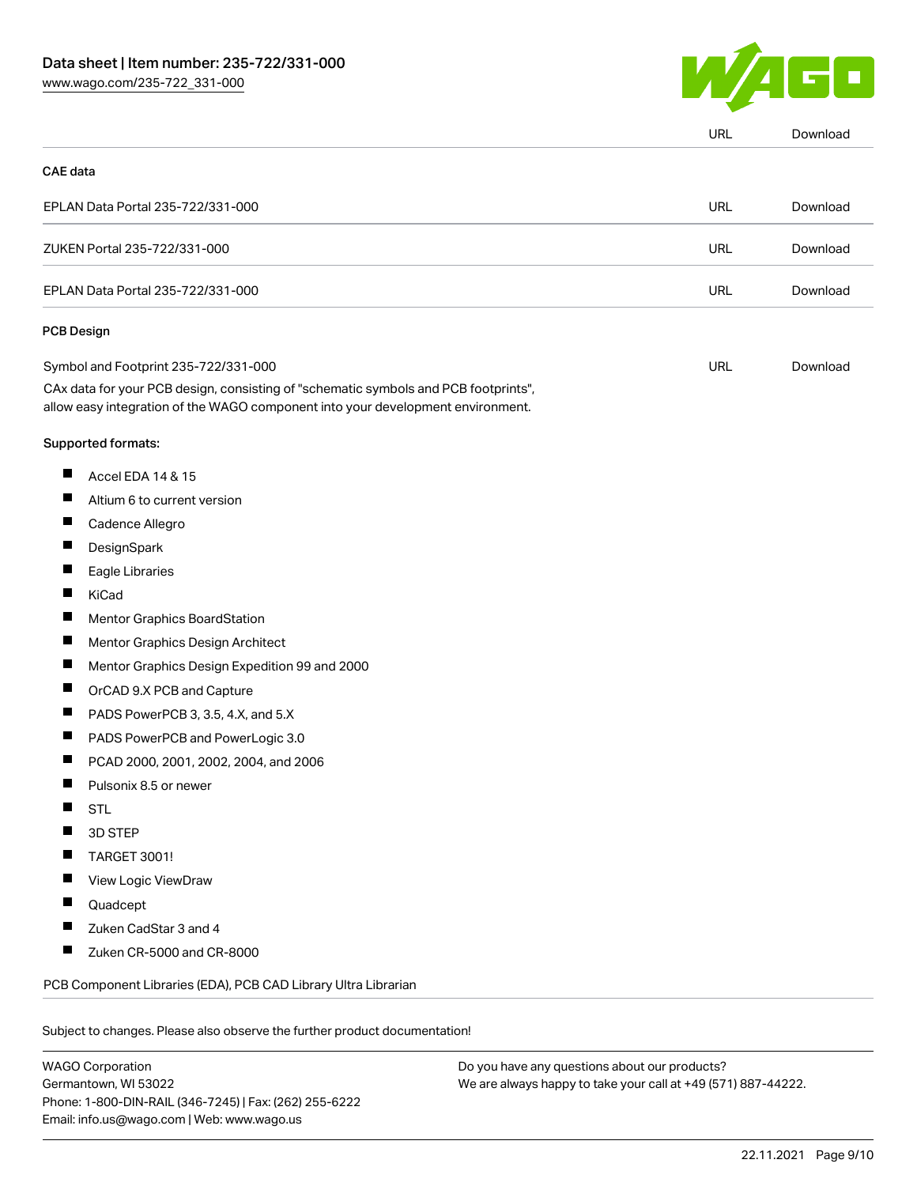

|          |                                                                                                                                                                        | URL        | Download |
|----------|------------------------------------------------------------------------------------------------------------------------------------------------------------------------|------------|----------|
| CAE data |                                                                                                                                                                        |            |          |
|          | EPLAN Data Portal 235-722/331-000                                                                                                                                      | <b>URL</b> | Download |
|          | ZUKEN Portal 235-722/331-000                                                                                                                                           | <b>URL</b> | Download |
|          | EPLAN Data Portal 235-722/331-000                                                                                                                                      | <b>URL</b> | Download |
|          | <b>PCB Design</b>                                                                                                                                                      |            |          |
|          | Symbol and Footprint 235-722/331-000                                                                                                                                   | <b>URL</b> | Download |
|          | CAx data for your PCB design, consisting of "schematic symbols and PCB footprints",<br>allow easy integration of the WAGO component into your development environment. |            |          |
|          | Supported formats:                                                                                                                                                     |            |          |
| ш        | Accel EDA 14 & 15                                                                                                                                                      |            |          |
| ш        | Altium 6 to current version                                                                                                                                            |            |          |
| ш        | Cadence Allegro                                                                                                                                                        |            |          |
|          | DesignSpark                                                                                                                                                            |            |          |
| Ш        | Eagle Libraries                                                                                                                                                        |            |          |
| ш        | KiCad                                                                                                                                                                  |            |          |
|          | Mentor Graphics BoardStation                                                                                                                                           |            |          |
| ш        | Mentor Graphics Design Architect                                                                                                                                       |            |          |
| ш        | Mentor Graphics Design Expedition 99 and 2000                                                                                                                          |            |          |
|          | OrCAD 9.X PCB and Capture                                                                                                                                              |            |          |
| ш        | PADS PowerPCB 3, 3.5, 4.X, and 5.X                                                                                                                                     |            |          |
| ш        | PADS PowerPCB and PowerLogic 3.0                                                                                                                                       |            |          |
|          | PCAD 2000, 2001, 2002, 2004, and 2006                                                                                                                                  |            |          |
| Ш        | Pulsonix 8.5 or newer                                                                                                                                                  |            |          |
|          | <b>STL</b>                                                                                                                                                             |            |          |
|          | 3D STEP                                                                                                                                                                |            |          |
|          | TARGET 3001!                                                                                                                                                           |            |          |
|          | View Logic ViewDraw                                                                                                                                                    |            |          |
|          | Quadcept                                                                                                                                                               |            |          |
|          | Zuken CadStar 3 and 4                                                                                                                                                  |            |          |
|          | Zuken CR-5000 and CR-8000                                                                                                                                              |            |          |
|          | PCB Component Libraries (EDA), PCB CAD Library Ultra Librarian                                                                                                         |            |          |

WAGO Corporation Germantown, WI 53022 Phone: 1-800-DIN-RAIL (346-7245) | Fax: (262) 255-6222 Email: info.us@wago.com | Web: www.wago.us